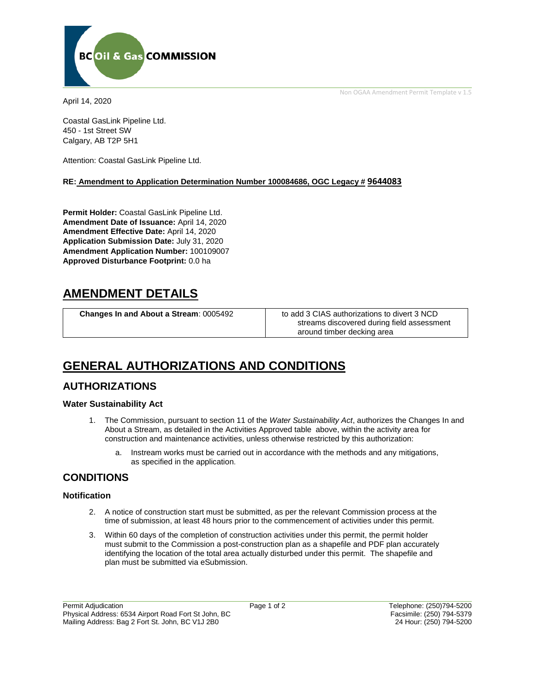

April 14, 2020

Coastal GasLink Pipeline Ltd. 450 - 1st Street SW Calgary, AB T2P 5H1

Attention: Coastal GasLink Pipeline Ltd.

#### **RE: Amendment to Application Determination Number 100084686, OGC Legacy # 9644083**

**Permit Holder:** Coastal GasLink Pipeline Ltd. **Amendment Date of Issuance:** April 14, 2020 **Amendment Effective Date:** April 14, 2020 **Application Submission Date:** July 31, 2020 **Amendment Application Number:** 100109007 **Approved Disturbance Footprint:** 0.0 ha

## **AMENDMENT DETAILS**

**Changes In and About a Stream:** 0005492 to add 3 CIAS authorizations to divert 3 NCD

streams discovered during field assessment around timber decking area

Non OGAA Amendment Permit Template v 1.5

# **GENERAL AUTHORIZATIONS AND CONDITIONS**

## **AUTHORIZATIONS**

## **Water Sustainability Act**

- 1. The Commission, pursuant to section 11 of the *Water Sustainability Act*, authorizes the Changes In and About a Stream, as detailed in the Activities Approved table above, within the activity area for construction and maintenance activities, unless otherwise restricted by this authorization:
	- a. Instream works must be carried out in accordance with the methods and any mitigations, as specified in the application.

## **CONDITIONS**

## **Notification**

- 2. A notice of construction start must be submitted, as per the relevant Commission process at the time of submission, at least 48 hours prior to the commencement of activities under this permit.
- 3. Within 60 days of the completion of construction activities under this permit, the permit holder must submit to the Commission a post-construction plan as a shapefile and PDF plan accurately identifying the location of the total area actually disturbed under this permit. The shapefile and plan must be submitted via eSubmission.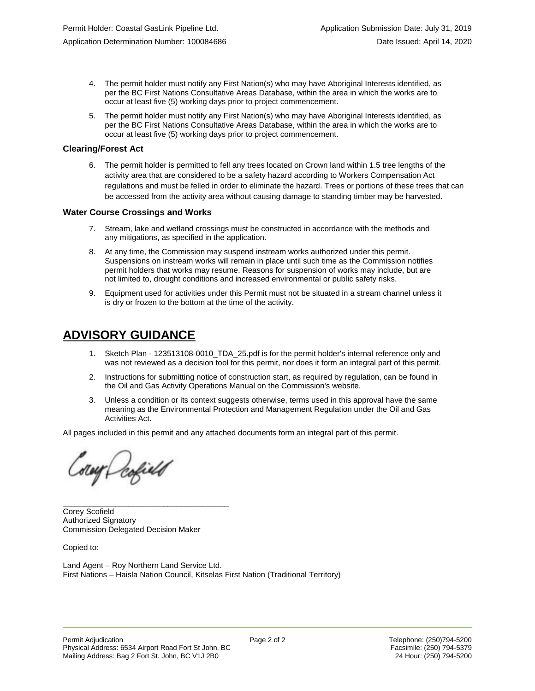- 4. The permit holder must notify any First Nation(s) who may have Aboriginal Interests identified, as per the BC First Nations Consultative Areas Database, within the area in which the works are to occur at least five (5) working days prior to project commencement.
- 5. The permit holder must notify any First Nation(s) who may have Aboriginal Interests identified, as per the BC First Nations Consultative Areas Database, within the area in which the works are to occur at least five (5) working days prior to project commencement.

## **Clearing/Forest Act**

6. The permit holder is permitted to fell any trees located on Crown land within 1.5 tree lengths of the activity area that are considered to be a safety hazard according to Workers Compensation Act regulations and must be felled in order to eliminate the hazard. Trees or portions of these trees that can be accessed from the activity area without causing damage to standing timber may be harvested.

## **Water Course Crossings and Works**

- 7. Stream, lake and wetland crossings must be constructed in accordance with the methods and any mitigations, as specified in the application.
- 8. At any time, the Commission may suspend instream works authorized under this permit. Suspensions on instream works will remain in place until such time as the Commission notifies permit holders that works may resume. Reasons for suspension of works may include, but are not limited to, drought conditions and increased environmental or public safety risks.
- 9. Equipment used for activities under this Permit must not be situated in a stream channel unless it is dry or frozen to the bottom at the time of the activity.

# **ADVISORY GUIDANCE**

- 1. Sketch Plan 123513108-0010\_TDA\_25.pdf is for the permit holder's internal reference only and was not reviewed as a decision tool for this permit, nor does it form an integral part of this permit.
- 2. Instructions for submitting notice of construction start, as required by regulation, can be found in the Oil and Gas Activity Operations Manual on the Commission's website.
- 3. Unless a condition or its context suggests otherwise, terms used in this approval have the same meaning as the Environmental Protection and Management Regulation under the Oil and Gas Activities Act.

All pages included in this permit and any attached documents form an integral part of this permit.

Corey Defield

Corey Scofield Authorized Signatory Commission Delegated Decision Maker

\_\_\_\_\_\_\_\_\_\_\_\_\_\_\_\_\_\_\_\_\_\_\_\_\_\_\_\_\_\_\_\_\_\_\_\_\_\_

Copied to:

Land Agent – Roy Northern Land Service Ltd. First Nations – Haisla Nation Council, Kitselas First Nation (Traditional Territory)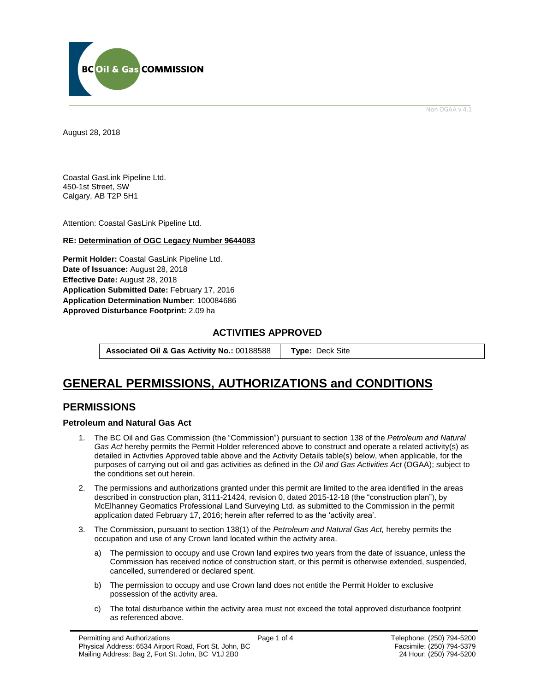

Non OGAA v 4.1

<span id="page-2-0"></span>August 28, 2018

Coastal GasLink Pipeline Ltd. 450-1st Street, SW Calgary, AB T2P 5H1

Attention: Coastal GasLink Pipeline Ltd.

## **RE: Determination of OGC Legacy Number 9644083**

**Permit Holder:** Coastal GasLink Pipeline Ltd. **Date of Issuance:** August 28, 2018 **Effective Date:** August 28, 2018 **Application Submitted Date:** February 17, 2016 **Application Determination Number**: 100084686 **[Approved Disturbance Footprint:](#page-2-0)** 2.09 ha

## **ACTIVITIES APPROVED**

**Associated Oil & Gas Activity No.:** 00188588 **[Type:](https://bi.bcogc.ca/Application%20Processing/Interactive%20Reports/(BIL-041)%20AMS%20Decision%20Summary.aspx)** Deck Site

## **GENERAL [PERMISSIONS,](#page-2-0) AUTHORIZATIONS and CONDITIONS**

## **PERMISSIONS**

## **Petroleum and Natural Gas Act**

- 1. The BC Oil and Gas Commission (the "Commission") pursuant to section 138 of the *Petroleum and Natural Gas Act* hereby permits the Permit Holder referenced above to construct and operate a related activity(s) as detailed in Activities Approved table above and the Activity Details table(s) below, when applicable, for the purposes of carrying out oil and gas activities as defined in the *Oil and Gas Activities Act* (OGAA); subject to the conditions set out herein.
- 2. The permissions and authorizations granted under this permit are limited to the area identified in the areas described in construction plan, 3111-21424, revision 0, dated 2015-12-18 (the "construction plan"), by McElhanney Geomatics Professional Land Surveying Ltd. as submitted to the Commission in the permit application dated February 17, 2016; herein after referred to as the 'activity area'.
- 3. The Commission, pursuant to section 138(1) of the *Petroleum and Natural Gas Act,* hereby permits the occupation and use of any Crown land located within the activity area.
	- a) The permission to occupy and use Crown land expires two years from the date of issuance, unless the Commission has received notice of construction start, or this permit is otherwise extended, suspended, cancelled, surrendered or declared spent.
	- b) The permission to occupy and use Crown land does not entitle the Permit Holder to exclusive possession of the activity area.
	- c) The total disturbance within the activity area must not exceed the total approved disturbance footprint as referenced above.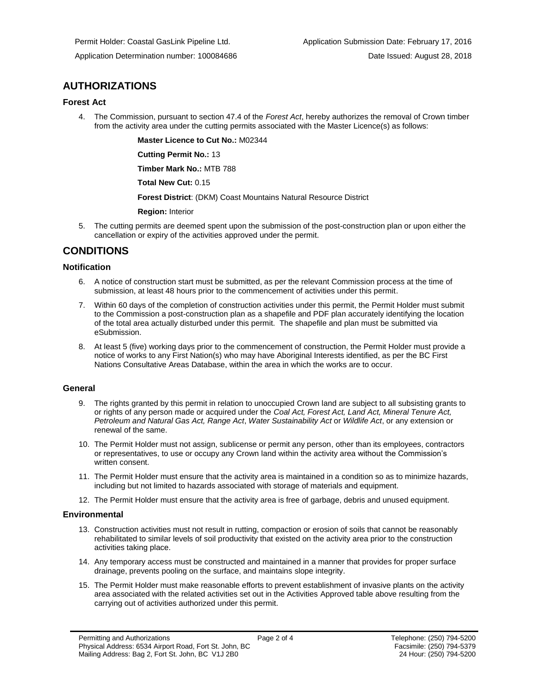## **AUTHORIZATIONS**

## **Forest Act**

4. The Commission, pursuant to section 47.4 of the *Forest Act*, hereby authorizes the removal of Crown timber from the activity area under the cutting permits associated with the Master Licence(s) as follows:

**Master Licence to Cut No.:** M02344

**Cutting Permit No.:** 13

**Timber Mark No.:** MTB 788

**Total New Cut:** 0.15

**[Forest District](https://ams-crd.bcogc.ca/crd/)**: (DKM) Coast Mountains Natural Resource District

**Region:** Interior

5. The cutting permits are deemed spent upon the submission of the post-construction plan or upon either the cancellation or expiry of the activities approved under the permit.

## **CONDITIONS**

## **Notification**

- 6. A notice of construction start must be submitted, as per the relevant Commission process at the time of submission, at least 48 hours prior to the commencement of activities under this permit.
- 7. Within 60 days of the completion of construction activities under this permit, the Permit Holder must submit to the Commission a post-construction plan as a shapefile and PDF plan accurately identifying the location of the total area actually disturbed under this permit. The shapefile and plan must be submitted via eSubmission.
- 8. At least 5 (five) working days prior to the commencement of construction, the Permit Holder must provide a notice of works to any First Nation(s) who may have Aboriginal Interests identified, as per the BC First Nations Consultative Areas Database, within the area in which the works are to occur.

## **General**

- 9. The rights granted by this permit in relation to unoccupied Crown land are subject to all subsisting grants to or rights of any person made or acquired under the *Coal Act, Forest Act, Land Act, Mineral Tenure Act, Petroleum and Natural Gas Act, Range Act*, *Water Sustainability Act* or *Wildlife Act*, or any extension or renewal of the same.
- 10. The Permit Holder must not assign, sublicense or permit any person, other than its employees, contractors or representatives, to use or occupy any Crown land within the activity area without the Commission's written consent.
- 11. The Permit Holder must ensure that the activity area is maintained in a condition so as to minimize hazards, including but not limited to hazards associated with storage of materials and equipment.
- 12. The Permit Holder must ensure that the activity area is free of garbage, debris and unused equipment.

## **Environmental**

- 13. Construction activities must not result in rutting, compaction or erosion of soils that cannot be reasonably rehabilitated to similar levels of soil productivity that existed on the activity area prior to the construction activities taking place.
- 14. Any temporary access must be constructed and maintained in a manner that provides for proper surface drainage, prevents pooling on the surface, and maintains slope integrity.
- 15. The Permit Holder must make reasonable efforts to prevent establishment of invasive plants on the activity area associated with the related activities set out in the Activities Approved table above resulting from the carrying out of activities authorized under this permit.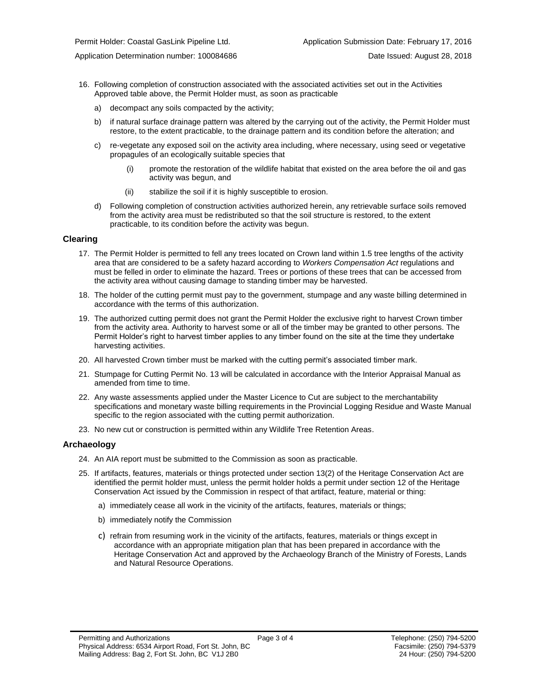- 16. Following completion of construction associated with the associated activities set out in the Activities Approved table above, the Permit Holder must, as soon as practicable
	- a) decompact any soils compacted by the activity;
	- b) if natural surface drainage pattern was altered by the carrying out of the activity, the Permit Holder must restore, to the extent practicable, to the drainage pattern and its condition before the alteration; and
	- c) re-vegetate any exposed soil on the activity area including, where necessary, using seed or vegetative propagules of an ecologically suitable species that
		- (i) promote the restoration of the wildlife habitat that existed on the area before the oil and gas activity was begun, and
		- (ii) stabilize the soil if it is highly susceptible to erosion.
	- d) Following completion of construction activities authorized herein, any retrievable surface soils removed from the activity area must be redistributed so that the soil structure is restored, to the extent practicable, to its condition before the activity was begun.

#### **Clearing**

- 17. The Permit Holder is permitted to fell any trees located on Crown land within 1.5 tree lengths of the activity area that are considered to be a safety hazard according to *Workers Compensation Act* regulations and must be felled in order to eliminate the hazard. Trees or portions of these trees that can be accessed from the activity area without causing damage to standing timber may be harvested.
- 18. The holder of the cutting permit must pay to the government, stumpage and any waste billing determined in accordance with the terms of this authorization.
- 19. The authorized cutting permit does not grant the Permit Holder the exclusive right to harvest Crown timber from the activity area. Authority to harvest some or all of the timber may be granted to other persons. The Permit Holder's right to harvest timber applies to any timber found on the site at the time they undertake harvesting activities.
- 20. All harvested Crown timber must be marked with the cutting permit's associated timber mark.
- 21. Stumpage for Cutting Permit No. 13 will be calculated in accordance with the Interior Appraisal Manual as amended from time to time.
- 22. Any waste assessments applied under the Master Licence to Cut are subject to the merchantability specifications and monetary waste billing requirements in the Provincial Logging Residue and Waste Manual specific to the region associated with the cutting permi[t authorization.](#page-2-0)
- 23. No new cut or construction is permitted within any Wildlife Tree Retention Areas.

#### **Archaeology**

- 24. An AIA report must be submitted to the Commission as soon as practicable.
- 25. If artifacts, features, materials or things protected under section 13(2) of the Heritage Conservation Act are identified the permit holder must, unless the permit holder holds a permit under section 12 of the Heritage Conservation Act issued by the Commission in respect of that artifact, feature, material or thing:
	- a) immediately cease all work in the vicinity of the artifacts, features, materials or things;
	- b) immediately notify the Commission
	- c) refrain from resuming work in the vicinity of the artifacts, features, materials or things except in accordance with an appropriate mitigation plan that has been prepared in accordance with the Heritage Conservation Act and approved by the Archaeology Branch of the Ministry of Forests, Lands and Natural Resource Operations.